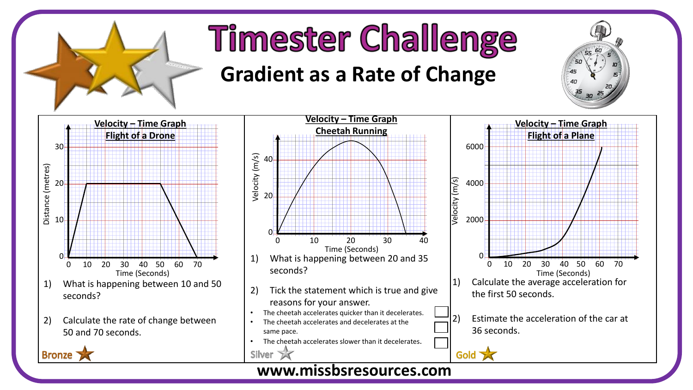

## **Timester Challenge**

## **Gradient as a Rate of Change**